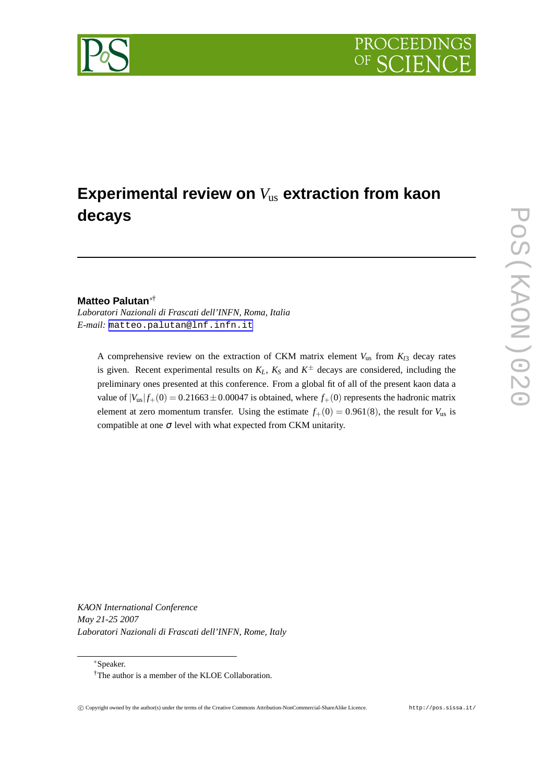

# **Experimental review on** *V*us **extraction from kaon decays**

# **Matteo Palutan**∗†

*Laboratori Nazionali di Frascati dell'INFN, Roma, Italia E-mail:* [matteo.palutan@lnf.infn.it](mailto:matteo.palutan@lnf.infn.it)

A comprehensive review on the extraction of CKM matrix element  $V_{us}$  from  $K_{l3}$  decay rates is given. Recent experimental results on  $K_L$ ,  $K_S$  and  $K^{\pm}$  decays are considered, including the preliminary ones presented at this conference. From a global fit of all of the present kaon data a value of  $|V_{us}| f_+(0) = 0.21663 \pm 0.00047$  is obtained, where  $f_+(0)$  represents the hadronic matrix element at zero momentum transfer. Using the estimate  $f_{+}(0) = 0.961(8)$ , the result for  $V_{us}$  is compatible at one  $\sigma$  level with what expected from CKM unitarity.

*KAON International Conference May 21-25 2007 Laboratori Nazionali di Frascati dell'INFN, Rome, Italy*

<sup>∗</sup>Speaker.

<sup>†</sup>The author is a member of the KLOE Collaboration.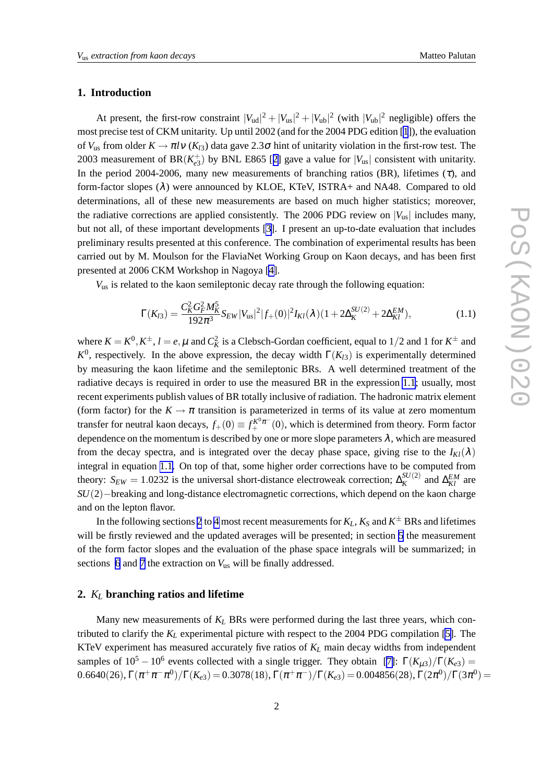#### **1. Introduction**

At present, the first-row constraint  $|V_{ud}|^2 + |V_{us}|^2 + |V_{ub}|^2$  (with  $|V_{ub}|^2$  negligible) offers the most precise test of CKM unitarity. Up until 2002 (and for the 2004 PDG edition [[1](#page-9-0)]), the evaluation of  $V_{us}$  from older  $K \to \pi l v$  ( $K_{l3}$ ) data gave 2.3 $\sigma$  hint of unitarity violation in the first-row test. The 2003 measurement of BR( $K_{e3}^+$ ) by BNL E865 [[2\]](#page-9-0) gave a value for  $|V_{us}|$  consistent with unitarity. In the period 2004-2006, many new measurements of branching ratios (BR), lifetimes ( $\tau$ ), and form-factor slopes  $(\lambda)$  were announced by KLOE, KTeV, ISTRA+ and NA48. Compared to old determinations, all of these new measurements are based on much higher statistics; moreover, the radiative corrections are applied consistently. The 2006 PDG review on  $|V_{us}|$  includes many, but not all, of these important developments [\[3\]](#page-9-0). I present an up-to-date evaluation that includes preliminary results presented at this conference. The combination of experimental results has been carried out by M. Moulson for the FlaviaNet Working Group on Kaon decays, and has been first presented at 2006 CKM Workshop in Nagoya [\[4\]](#page-9-0).

*V*us is related to the kaon semileptonic decay rate through the following equation:

$$
\Gamma(K_{l3}) = \frac{C_K^2 G_F^2 M_K^5}{192\pi^3} S_{EW} |V_{us}|^2 |f_+(0)|^2 I_{Kl}(\lambda) (1 + 2\Delta_K^{SU(2)} + 2\Delta_{Kl}^{EM}), \tag{1.1}
$$

where  $K = K^0, K^{\pm}, l = e, \mu$  and  $C_K^2$  is a Clebsch-Gordan coefficient, equal to 1/2 and 1 for  $K^{\pm}$  and  $K^0$ , respectively. In the above expression, the decay width  $\Gamma(K_{l3})$  is experimentally determined by measuring the kaon lifetime and the semileptonic BRs. A well determined treatment of the radiative decays is required in order to use the measured BR in the expression 1.1; usually, most recent experiments publish values of BR totally inclusive of radiation. The hadronic matrix element (form factor) for the  $K \to \pi$  transition is parameterized in terms of its value at zero momentum transfer for neutral kaon decays,  $f_+(0) \equiv f_+^{K^0 \pi^-}(0)$ , which is determined from theory. Form factor dependence on the momentum is described by one or more slope parameters  $\lambda$ , which are measured from the decay spectra, and is integrated over the decay phase space, giving rise to the  $I_{Kl}(\lambda)$ integral in equation 1.1. On top of that, some higher order corrections have to be computed from theory:  $S_{EW} = 1.0232$  is the universal short-distance electroweak correction;  $\Delta_K^{SU(2)}$  $\frac{SU(2)}{K}$  and  $\Delta_{Kl}^{EM}$  are *SU*(2)−breaking and long-distance electromagnetic corrections, which depend on the kaon charge and on the lepton flavor.

In the following sections 2 to [4](#page-3-0) most recent measurements for  $K_L$ ,  $K_S$  and  $K^\pm$  BRs and lifetimes will be firstly reviewed and the updated averages will be presented; in section [5](#page-4-0) the measurement of the form factor slopes and the evaluation of the phase space integrals will be summarized; in sections [6](#page-6-0) and [7](#page-7-0) the extraction on *V*us will be finally addressed.

#### **2.** *K<sup>L</sup>* **branching ratios and lifetime**

Many new measurements of  $K_L$  BRs were performed during the last three years, which contributed to clarify the *K<sup>L</sup>* experimental picture with respect to the 2004 PDG compilation [\[5\]](#page-9-0). The KTeV experiment has measured accurately five ratios of *K<sup>L</sup>* main decay widths from independent samples of  $10^5 - 10^6$  events collected with a single trigger. They obtain [\[7\]](#page-9-0):  $\Gamma(K_{\mu 3})/\Gamma(K_{e3}) =$  $0.6640(26), \Gamma(\pi^+\pi^-\pi^0)/\Gamma(K_{e3})\!=\!0.3078(18), \Gamma(\pi^+\pi^-)/\Gamma(K_{e3})\!=\!0.004856(28), \Gamma(2\pi^0)/\Gamma(3\pi^0)\!=\!0.004856(28)$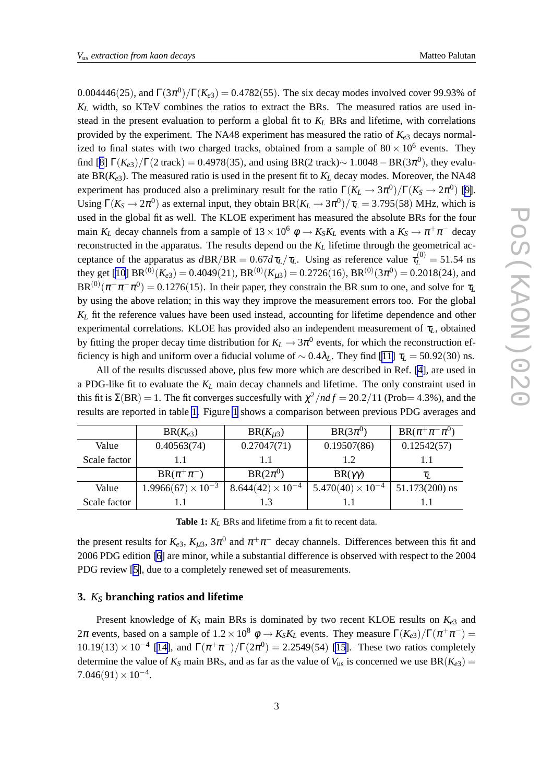0.004446(25), and  $\Gamma(3\pi^0)/\Gamma(K_{e3}) = 0.4782(55)$ . The six decay modes involved cover 99.93% of  $K_L$  width, so KTeV combines the ratios to extract the BRs. The measured ratios are used instead in the present evaluation to perform a global fit to *K<sup>L</sup>* BRs and lifetime, with correlations provided by the experiment. The NA48 experiment has measured the ratio of  $K_{e3}$  decays normalized to final states with two charged tracks, obtained from a sample of  $80 \times 10^6$  events. They find [[8](#page-9-0)]  $\Gamma(K_{e3})/\Gamma(2 \text{ track}) = 0.4978(35)$ , and using BR(2 track) $\sim 1.0048 - \text{BR}(3\pi^0)$ , they evaluate  $BR(K_{e3})$ . The measured ratio is used in the present fit to  $K_L$  decay modes. Moreover, the NA48 experiment has produced also a preliminary result for the ratio  $\Gamma(K_L \to 3\pi^0)/\Gamma(K_S \to 2\pi^0)$  [\[9\]](#page-9-0). Using  $\Gamma(K_S \to 2\pi^0)$  as external input, they obtain  $BR(K_L \to 3\pi^0)/\tau_L = 3.795(58)$  MHz, which is used in the global fit as well. The KLOE experiment has measured the absolute BRs for the four main  $K_L$  decay channels from a sample of  $13 \times 10^6$   $\phi \to K_S K_L$  events with a  $K_S \to \pi^+ \pi^-$  decay reconstructed in the apparatus. The results depend on the *K<sup>L</sup>* lifetime through the geometrical acceptance of the apparatus as  $dBR/BR = 0.67 d\tau_L/\tau_L$ . Using as reference value  $\tau_L^{(0)} = 51.54$  ns they get [\[10](#page-9-0)]  $BR^{(0)}(K_{e3}) = 0.4049(21)$ ,  $BR^{(0)}(K_{\mu 3}) = 0.2726(16)$ ,  $BR^{(0)}(3\pi^0) = 0.2018(24)$ , and  $BR^{(0)}(\pi^+\pi^-\pi^0) = 0.1276(15)$ . In their paper, they constrain the BR sum to one, and solve for  $\tau_L$ by using the above relation; in this way they improve the measurement errors too. For the global *K<sup>L</sup>* fit the reference values have been used instead, accounting for lifetime dependence and other experimental correlations. KLOE has provided also an independent measurement of  $\tau_L$ , obtained by fitting the proper decay time distribution for  $K_L \rightarrow 3\pi^0$  events, for which the reconstruction efficiency is high and uniform over a fiducial volume of  $\sim 0.4\lambda_L$ . They find [[11\]](#page-9-0)  $\tau_L = 50.92(30)$  ns.

All of the results discussed above, plus few more which are described in Ref. [\[4\]](#page-9-0), are used in a PDG-like fit to evaluate the *K<sup>L</sup>* main decay channels and lifetime. The only constraint used in this fit is  $\Sigma(BR) = 1$ . The fit converges succesfully with  $\chi^2/ndf = 20.2/11$  (Prob= 4.3%), and the results are reported in table 1. Figure [1](#page-3-0) shows a comparison between previous PDG averages and

|              | $BR(K_{e3})$                | $BR(K_{u3})$               | $BR(3\pi^0)$               | $BR(\pi^+\pi^-\pi^0)$ |
|--------------|-----------------------------|----------------------------|----------------------------|-----------------------|
| Value        | 0.40563(74)                 | 0.27047(71)                | 0.19507(86)                | 0.12542(57)           |
| Scale factor | 1.1                         | 1.1                        | 1.2                        |                       |
|              | $BR(\pi^+\pi^-)$            | $BR(2\pi^0)$               | $BR(\gamma\gamma)$         | $\tau_L$              |
| Value        | $1.9966(67) \times 10^{-3}$ | $8.644(42) \times 10^{-4}$ | $5.470(40) \times 10^{-4}$ | $51.173(200)$ ns      |
| Scale factor |                             | 1.3                        |                            |                       |

**Table 1:** *K<sup>L</sup>* BRs and lifetime from a fit to recent data.

the present results for  $K_{e3}$ ,  $K_{\mu 3}$ ,  $3\pi^0$  and  $\pi^+\pi^-$  decay channels. Differences between this fit and 2006 PDG edition [\[6\]](#page-9-0) are minor, while a substantial difference is observed with respect to the 2004 PDG review [\[5\]](#page-9-0), due to a completely renewed set of measurements.

### **3.** *K<sup>S</sup>* **branching ratios and lifetime**

Present knowledge of  $K_S$  main BRs is dominated by two recent KLOE results on  $K_{e3}$  and 2π events, based on a sample of  $1.2 \times 10^8$   $\phi \to K_S K_L$  events. They measure  $\Gamma(K_{e3})/\Gamma(\pi^+\pi^-) =$  $10.19(13) \times 10^{-4}$  [[14\]](#page-9-0), and  $\Gamma(\pi^+\pi^-)/\Gamma(2\pi^0) = 2.2549(54)$  [\[15](#page-9-0)]. These two ratios completely determine the value of  $K_S$  main BRs, and as far as the value of  $V_{us}$  is concerned we use  $BR(K_{e3}) =$  $7.046(91) \times 10^{-4}$ .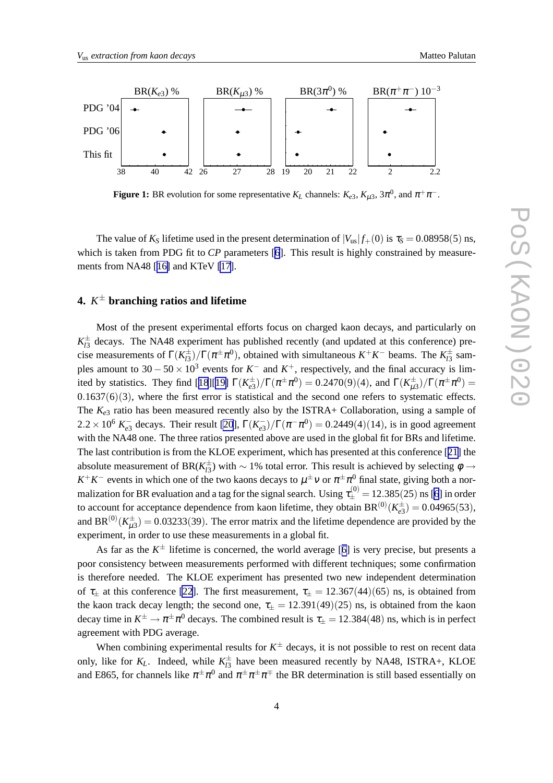<span id="page-3-0"></span>

**Figure 1:** BR evolution for some representative  $K_L$  channels:  $K_{e3}$ ,  $K_{\mu 3}$ ,  $3\pi^0$ , and  $\pi^+\pi^-$ .

The value of  $K_S$  lifetime used in the present determination of  $|V_{us}| f_+(0)$  is  $\tau_S = 0.08958(5)$  ns, which is taken from PDG fit to *CP* parameters [[6](#page-9-0)]. This result is highly constrained by measurements from NA48 [[16\]](#page-9-0) and KTeV [\[17](#page-9-0)].

# **4.** *K* <sup>±</sup> **branching ratios and lifetime**

Most of the present experimental efforts focus on charged kaon decays, and particularly on  $K^{\pm}_{13}$  decays. The NA48 experiment has published recently (and updated at this conference) precise measurements of  $\Gamma(K_{13}^{\pm})/\Gamma(\pi^{\pm}\pi^0)$ , obtained with simultaneous  $K^+K^-$  beams. The  $K_{13}^{\pm}$  samples amount to  $30 - 50 \times 10^3$  events for  $K^-$  and  $K^+$ , respectively, and the final accuracy is lim-ited by statistics. They find [[18](#page-9-0)][[19\]](#page-9-0)  $\Gamma(K_{e3}^{\pm})/\Gamma(\pi^{\pm}\pi^0) = 0.2470(9)(4)$ , and  $\Gamma(K_{\mu3}^{\pm})/\Gamma(\pi^{\pm}\pi^0) =$  $0.1637(6)(3)$ , where the first error is statistical and the second one refers to systematic effects. The  $K_{e3}$  ratio has been measured recently also by the ISTRA+ Collaboration, using a sample of 2.2 × 10<sup>6</sup>  $K_{e3}^-$  decays. Their result [\[20](#page-9-0)],  $\Gamma(K_{e3}^-)/\Gamma(\pi^-\pi^0) = 0.2449(4)(14)$ , is in good agreement with the NA48 one. The three ratios presented above are used in the global fit for BRs and lifetime. The last contribution is from the KLOE experiment, which has presented at this conference [[21\]](#page-9-0) the absolute measurement of BR( $K^{\pm}_{l3}$ ) with  $\sim 1\%$  total error. This result is achieved by selecting  $\phi \to$  $K^+K^-$  events in which one of the two kaons decays to  $\mu^{\pm}v$  or  $\pi^{\pm}\pi^0$  final state, giving both a normalization for BR evaluation and a tag for the signal search. Using  $\tau^{(0)}_{\pm}=$  12.385(25) ns [\[6](#page-9-0)] in order to account for acceptance dependence from kaon lifetime, they obtain  $BR^{(0)}(K_{e3}^{\pm}) = 0.04965(53)$ , and BR<sup>(0)</sup>( $K^{\pm}_{\mu 3}$ ) = 0.03233(39). The error matrix and the lifetime dependence are provided by the experiment, in order to use these measurements in a global fit.

As far as the  $K^{\pm}$  lifetime is concerned, the world average [[6\]](#page-9-0) is very precise, but presents a poor consistency between measurements performed with different techniques; some confirmation is therefore needed. The KLOE experiment has presented two new independent determination of  $\tau_{\pm}$  at this conference [\[22](#page-9-0)]. The first measurement,  $\tau_{\pm} = 12.367(44)(65)$  ns, is obtained from the kaon track decay length; the second one,  $\tau_{\pm} = 12.391(49)(25)$  ns, is obtained from the kaon decay time in  $K^\pm\to\pi^\pm\pi^0$  decays. The combined result is  $\tau_\pm=12.384(48)$  ns, which is in perfect agreement with PDG average.

When combining experimental results for  $K^{\pm}$  decays, it is not possible to rest on recent data only, like for  $K_L$ . Indeed, while  $K_{l3}^{\pm}$  have been measured recently by NA48, ISTRA+, KLOE and E865, for channels like  $\pi^{\pm}\pi^0$  and  $\pi^{\pm}\pi^{\pm}\pi^{\mp}$  the BR determination is still based essentially on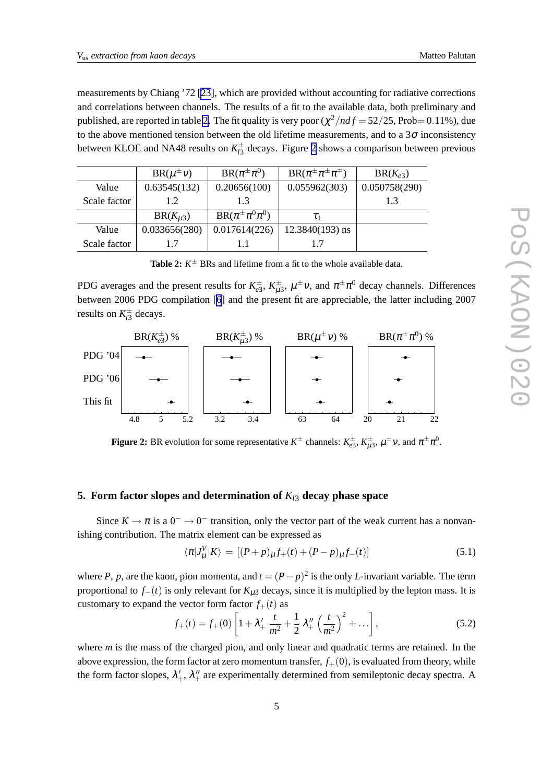<span id="page-4-0"></span>measurements by Chiang '72 [\[23](#page-9-0)], which are provided without accounting for radiative corrections and correlations between channels. The results of a fit to the available data, both preliminary and published, are reported in table 2. The fit quality is very poor  $(\chi^2/ndf = 52/25$ , Prob= 0.11%), due to the above mentioned tension between the old lifetime measurements, and to a  $3\sigma$  inconsistency between KLOE and NA48 results on  $K^{\pm}_{l3}$  decays. Figure 2 shows a comparison between previous

|              | $BR(\mu^{\pm}v)$ | $BR(\pi^{\pm}\pi^0)$      | $BR(\pi^{\pm}\pi^{\pm}\pi^{\mp})$ | $BR(K_{e3})$  |
|--------------|------------------|---------------------------|-----------------------------------|---------------|
| Value        | 0.63545(132)     | 0.20656(100)              | 0.055962(303)                     | 0.050758(290) |
| Scale factor | 1.2              | 1.3                       |                                   |               |
|              | $BR(K_{\mu3})$   | $BR(\pi^{\pm}\pi^0\pi^0)$ | $\tau_+$                          |               |
| Value        | 0.033656(280)    | 0.017614(226)             | $12.3840(193)$ ns                 |               |
| Scale factor |                  |                           |                                   |               |

**Table 2:**  $K^{\pm}$  BRs and lifetime from a fit to the whole available data.

PDG averages and the present results for  $K_{e3}^{\pm}$ ,  $K_{\mu3}^{\pm}$ ,  $\mu^{\pm}$ v, and  $\pi^{\pm}\pi^0$  decay channels. Differences between 2006 PDG compilation [\[6](#page-9-0)] and the present fit are appreciable, the latter including 2007 results on  $K_{l3}^{\pm}$  decays.



**Figure 2:** BR evolution for some representative  $K^{\pm}$  channels:  $K^{\pm}_{e3}$ ,  $K^{\pm}_{\mu 3}$ ,  $\mu^{\pm} \nu$ , and  $\pi^{\pm} \pi^{0}$ .

# **5. Form factor slopes and determination of**  $K_{13}$  **decay phase space**

Since  $K \to \pi$  is a  $0^- \to 0^-$  transition, only the vector part of the weak current has a nonvanishing contribution. The matrix element can be expressed as

$$
\langle \pi | J^V_\mu | K \rangle = \left[ (P + p)_\mu f_+(t) + (P - p)_\mu f_-(t) \right] \tag{5.1}
$$

where *P*, *p*, are the kaon, pion momenta, and  $t = (P - p)^2$  is the only *L*-invariant variable. The term proportional to  $f_-(t)$  is only relevant for  $K_{\mu 3}$  decays, since it is multiplied by the lepton mass. It is customary to expand the vector form factor  $f_+(t)$  as

$$
f_{+}(t) = f_{+}(0) \left[ 1 + \lambda'_{+} \frac{t}{m^{2}} + \frac{1}{2} \lambda''_{+} \left( \frac{t}{m^{2}} \right)^{2} + \ldots \right],
$$
 (5.2)

where *m* is the mass of the charged pion, and only linear and quadratic terms are retained. In the above expression, the form factor at zero momentum transfer,  $f_{+}(0)$ , is evaluated from theory, while the form factor slopes,  $\lambda'_+, \lambda''_+$  are experimentally determined from semileptonic decay spectra. A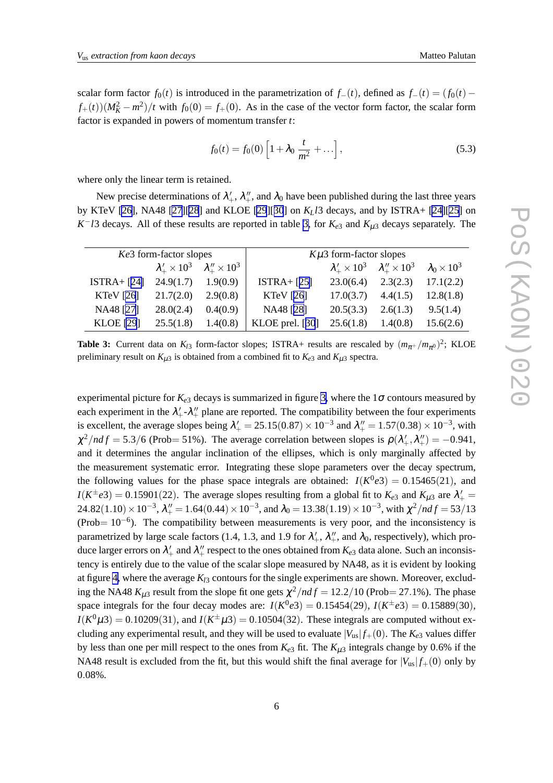scalar form factor  $f_0(t)$  is introduced in the parametrization of  $f_-(t)$ , defined as  $f_-(t) = (f_0(t)$  $f_{+}(t)$ ) $(M_K^2 - m^2)/t$  with  $f_0(0) = f_{+}(0)$ . As in the case of the vector form factor, the scalar form factor is expanded in powers of momentum transfer *t*:

$$
f_0(t) = f_0(0) \left[ 1 + \lambda_0 \frac{t}{m^2} + \dots \right],
$$
 (5.3)

where only the linear term is retained.

New precise determinations of  $\lambda'_+, \lambda''_+$ , and  $\lambda_0$  have been published during the last three years by KTeV [\[26\]](#page-9-0), NA48 [\[27](#page-9-0)][\[28](#page-9-0)] and KLOE [\[29](#page-9-0)][[30](#page-9-0)] on *KLl*3 decays, and by ISTRA+ [[24\]\[25](#page-9-0)] on *K*<sup>−</sup>*l*3 decays. All of these results are reported in table 3, for  $K_{e3}$  and  $K_{\mu 3}$  decays separately. The

| Ke3 form-factor slopes |           | $K\mu$ 3 form-factor slopes                        |                 |                                                        |          |                         |
|------------------------|-----------|----------------------------------------------------|-----------------|--------------------------------------------------------|----------|-------------------------|
|                        |           | $\lambda'_+ \times 10^3$ $\lambda''_+ \times 10^3$ |                 | $\lambda'_+ \times 10^3 \quad \lambda''_+ \times 10^3$ |          | $\lambda_0 \times 10^3$ |
| $ISTRA + [24]$         | 24.9(1.7) | 1.9(0.9)                                           | $ISTRA + [25]$  | 23.0(6.4)                                              | 2.3(2.3) | 17.1(2.2)               |
| KTeV $[26]$            | 21.7(2.0) | 2.9(0.8)                                           | KTeV $[26]$     | 17.0(3.7)                                              | 4.4(1.5) | 12.8(1.8)               |
| NA48 [27]              | 28.0(2.4) | 0.4(0.9)                                           | NA48 [28]       | 20.5(3.3)                                              | 2.6(1.3) | 9.5(1.4)                |
| <b>KLOE</b> [29]       | 25.5(1.8) | 1.4(0.8)                                           | KLOE prel. [30] | 25.6(1.8)                                              | 1.4(0.8) | 15.6(2.6)               |

**Table 3:** Current data on  $K_{l3}$  form-factor slopes; ISTRA+ results are rescaled by  $(m_{\pi^+}/m_{\pi^0})^2$ ; KLOE preliminary result on  $K_{\mu 3}$  is obtained from a combined fit to  $K_{e3}$  and  $K_{\mu 3}$  spectra.

experimental picture for  $K_{e3}$  decays is summarized in figure [3,](#page-6-0) where the  $1\sigma$  contours measured by each experiment in the  $\lambda'_+$ - $\lambda''_+$  plane are reported. The compatibility between the four experiments is excellent, the average slopes being  $\lambda'_{+} = 25.15(0.87) \times 10^{-3}$  and  $\lambda''_{+} = 1.57(0.38) \times 10^{-3}$ , with  $\chi^2/ndf = 5.3/6$  (Prob= 51%). The average correlation between slopes is  $\rho(\lambda'_+, \lambda''_+) = -0.941$ , and it determines the angular inclination of the ellipses, which is only marginally affected by the measurement systematic error. Integrating these slope parameters over the decay spectrum, the following values for the phase space integrals are obtained:  $I(K^0e3) = 0.15465(21)$ , and  $I(K^{\pm}e3) = 0.15901(22)$ . The average slopes resulting from a global fit to  $K_{e3}$  and  $K_{\mu3}$  are  $\lambda'_{+} =$ 24.82(1.10) × 10<sup>-3</sup>,  $\lambda''_+$  = 1.64(0.44) × 10<sup>-3</sup>, and  $\lambda_0$  = 13.38(1.19) × 10<sup>-3</sup>, with  $\chi^2/ndf$  = 53/13 (Prob=  $10^{-6}$ ). The compatibility between measurements is very poor, and the inconsistency is parametrized by large scale factors (1.4, 1.3, and 1.9 for  $\lambda'_+$ ,  $\lambda''_+$ , and  $\lambda_0$ , respectively), which produce larger errors on  $\lambda'_+$  and  $\lambda''_+$  respect to the ones obtained from  $K_{e3}$  data alone. Such an inconsistency is entirely due to the value of the scalar slope measured by NA48, as it is evident by looking at figure [4,](#page-6-0) where the average  $K_{l3}$  contours for the single experiments are shown. Moreover, excluding the NA48  $K_{\mu 3}$  result from the slope fit one gets  $\chi^2/ndf = 12.2/10$  (Prob= 27.1%). The phase space integrals for the four decay modes are:  $I(K^0e3) = 0.15454(29)$ ,  $I(K^{\pm}e3) = 0.15889(30)$ ,  $I(K^{0}\mu 3) = 0.10209(31)$ , and  $I(K^{\pm}\mu 3) = 0.10504(32)$ . These integrals are computed without excluding any experimental result, and they will be used to evaluate  $|V_{us}| f_+(0)$ . The  $K_{e3}$  values differ by less than one per mill respect to the ones from  $K_{e3}$  fit. The  $K_{\mu 3}$  integrals change by 0.6% if the NA48 result is excluded from the fit, but this would shift the final average for  $|V_{us}| f_{+}(0)$  only by 0.08%.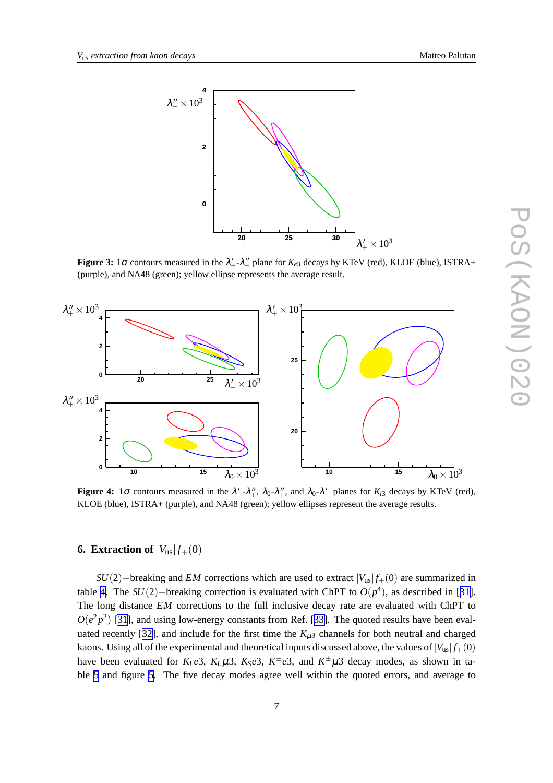<span id="page-6-0"></span>

**Figure 3:** 1 $\sigma$  contours measured in the  $\lambda'_+$ - $\lambda''_+$  plane for  $K_{e3}$  decays by KTeV (red), KLOE (blue), ISTRA+ (purple), and NA48 (green); yellow ellipse represents the average result.



**Figure 4:** 1 $\sigma$  contours measured in the  $\lambda'_+$ - $\lambda''_+$ ,  $\lambda_0$ - $\lambda''_+$ , and  $\lambda_0$ - $\lambda'_+$  planes for  $K_{l3}$  decays by KTeV (red), KLOE (blue), ISTRA+ (purple), and NA48 (green); yellow ellipses represent the average results.

# **6. Extraction of**  $|V_{us}| f_{+}(0)$

*SU*(2)−breaking and *EM* corrections which are used to extract  $|V_{us}| f_{+}(0)$  are summarized in table [4.](#page-7-0) The  $SU(2)$ -breaking correction is evaluated with ChPT to  $O(p^4)$ , as described in [[31\]](#page-9-0). The long distance *EM* corrections to the full inclusive decay rate are evaluated with ChPT to  $O(e^2p^2)$  [\[31](#page-9-0)], and using low-energy constants from Ref. [[33\]](#page-10-0). The quoted results have been eval-uated recently [[32\]](#page-10-0), and include for the first time the  $K_{\mu 3}$  channels for both neutral and charged kaons. Using all of the experimental and theoretical inputs discussed above, the values of  $|V_{us}| f_+(0)$ have been evaluated for  $K_Le3$ ,  $K_L\mu 3$ ,  $K_Se3$ ,  $K^{\pm}e3$ , and  $K^{\pm}\mu 3$  decay modes, as shown in table [5](#page-7-0) and figure [5](#page-7-0). The five decay modes agree well within the quoted errors, and average to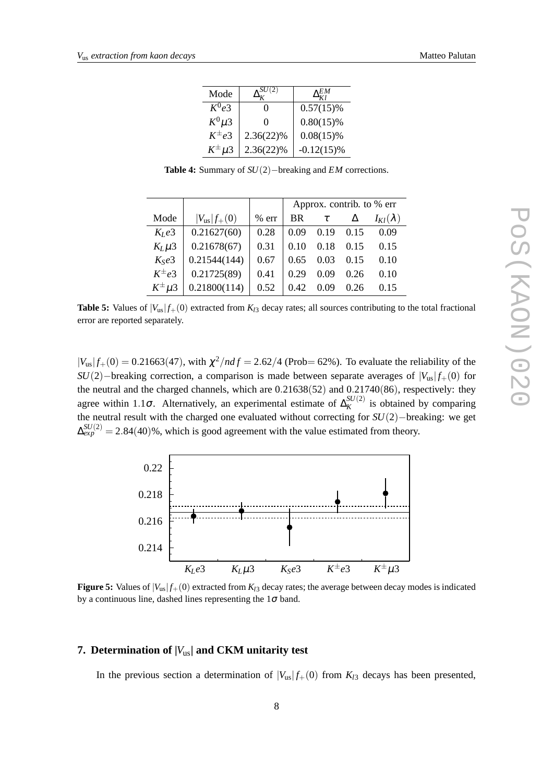<span id="page-7-0"></span>

| Mode           |              | EM            |
|----------------|--------------|---------------|
| $K^0e^3$       | 0            | $0.57(15)\%$  |
| $K^0\mu3$      | 0            | $0.80(15)\%$  |
| $K^{\pm}e3$    | $2.36(22)\%$ | $0.08(15)\%$  |
| $K^{\pm}\mu$ 3 | $2.36(22)\%$ | $-0.12(15)\%$ |

**Table 4:** Summary of *SU*(2)−breaking and *EM* corrections.

|                 |                     |         | Approx. contrib. to % err |        |      |                   |
|-----------------|---------------------|---------|---------------------------|--------|------|-------------------|
| Mode            | $ V_{us}  f_{+}(0)$ | $%$ err | <b>BR</b>                 | $\tau$ | Δ    | $I_{Kl}(\lambda)$ |
| $K_Ie3$         | 0.21627(60)         | 0.28    | 0.09                      | 0.19   | 0.15 | 0.09              |
| $K_L \mu 3$     | 0.21678(67)         | 0.31    | 0.10                      | 0.18   | 0.15 | 0.15              |
| $K_S e3$        | 0.21544(144)        | 0.67    | 0.65                      | 0.03   | 0.15 | 0.10              |
| $K^{\pm}e3$     | 0.21725(89)         | 0.41    | 0.29                      | 0.09   | 0.26 | 0.10              |
| $K^{\pm} \mu 3$ | 0.21800(114)        | 0.52    | 0.42                      | 0.09   | 0.26 | 0.15              |

**Table 5:** Values of  $|V_{us}| f_+(0)$  extracted from  $K_{l3}$  decay rates; all sources contributing to the total fractional error are reported separately.

 $|V_{us}| f_{+}(0) = 0.21663(47)$ , with  $\chi^{2}/ndf = 2.62/4$  (Prob= 62%). To evaluate the reliability of the *SU*(2)−breaking correction, a comparison is made between separate averages of  $|V_{us}| f_{+}(0)$  for the neutral and the charged channels, which are 0.21638(52) and 0.21740(86), respectively: they agree within 1.1 $\sigma$ . Alternatively, an experimental estimate of  $\Delta_K^{SU(2)}$  $K^{SU(2)}$  is obtained by comparing the neutral result with the charged one evaluated without correcting for *SU*(2)−breaking: we get  $\Delta_{exp}^{SU(2)} = 2.84(40)\%$ , which is good agreement with the value estimated from theory.



**Figure 5:** Values of  $|V_{us}| f_+(0)$  extracted from  $K_{l3}$  decay rates; the average between decay modes is indicated by a continuous line, dashed lines representing the  $1\sigma$  band.

## **7. Determination of |***V*us**| and CKM unitarity test**

In the previous section a determination of  $|V_{us}| f_+(0)$  from  $K_{l3}$  decays has been presented,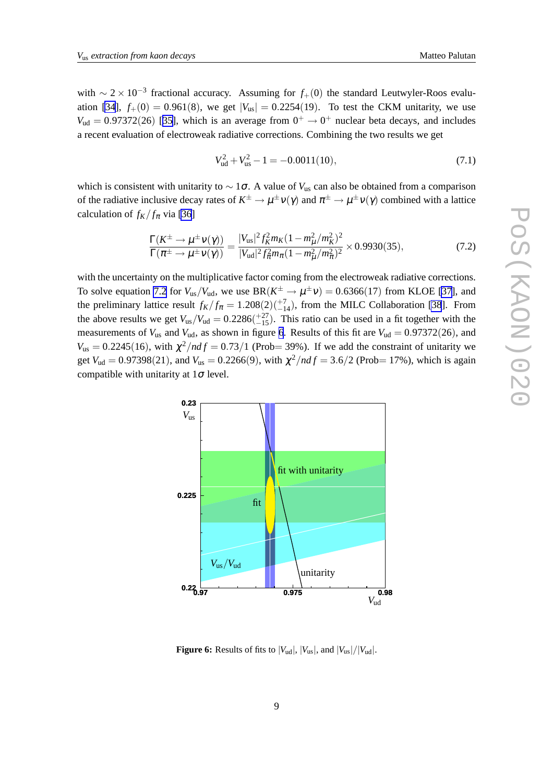with  $\sim 2 \times 10^{-3}$  fractional accuracy. Assuming for  $f_+(0)$  the standard Leutwyler-Roos evalu-ation [\[34](#page-10-0)],  $f_+(0) = 0.961(8)$ , we get  $|V_{us}| = 0.2254(19)$ . To test the CKM unitarity, we use  $V_{ud} = 0.97372(26)$  [[35\]](#page-10-0), which is an average from  $0^+ \rightarrow 0^+$  nuclear beta decays, and includes a recent evaluation of electroweak radiative corrections. Combining the two results we get

$$
V_{ud}^2 + V_{us}^2 - 1 = -0.0011(10),\tag{7.1}
$$

which is consistent with unitarity to ∼ 1σ. A value of *V*us can also be obtained from a comparison of the radiative inclusive decay rates of  $K^{\pm}\to\mu^{\pm}\nu(\gamma)$  and  $\pi^{\pm}\to\mu^{\pm}\nu(\gamma)$  combined with a lattice calculation of  $f_K / f_\pi$  via [\[36](#page-10-0)]

$$
\frac{\Gamma(K^{\pm}\to\mu^{\pm}\nu(\gamma))}{\Gamma(\pi^{\pm}\to\mu^{\pm}\nu(\gamma))} = \frac{|V_{us}|^2 f_K^2 m_K (1 - m_\mu^2/m_K^2)^2}{|V_{ud}|^2 f_\pi^2 m_\pi (1 - m_\mu^2/m_\pi^2)^2} \times 0.9930(35),\tag{7.2}
$$

with the uncertainty on the multiplicative factor coming from the electroweak radiative corrections. To solve equation 7.2 for  $V_{us}/V_{ud}$ , we use  $BR(K^{\pm} \to \mu^{\pm} \nu) = 0.6366(17)$  from KLOE [\[37](#page-10-0)], and the preliminary lattice result  $f_K/f_\pi = 1.208(2)(\frac{+7}{-14})$ , from the MILC Collaboration [\[38](#page-10-0)]. From the above results we get  $V_{us}/V_{ud} = 0.2286(^{+27}_{-15})$ . This ratio can be used in a fit together with the measurements of  $V_{us}$  and  $V_{ud}$ , as shown in figure 6. Results of this fit are  $V_{ud} = 0.97372(26)$ , and  $V_{\text{us}} = 0.2245(16)$ , with  $\chi^2/ndf = 0.73/1$  (Prob= 39%). If we add the constraint of unitarity we get  $V_{ud} = 0.97398(21)$ , and  $V_{us} = 0.2266(9)$ , with  $\chi^2/ndf = 3.6/2$  (Prob= 17%), which is again compatible with unitarity at  $1\sigma$  level.

**Figure 6:** Results of fits to  $|V_{ud}|$ ,  $|V_{us}|$ , and  $|V_{us}|/|V_{ud}|$ .

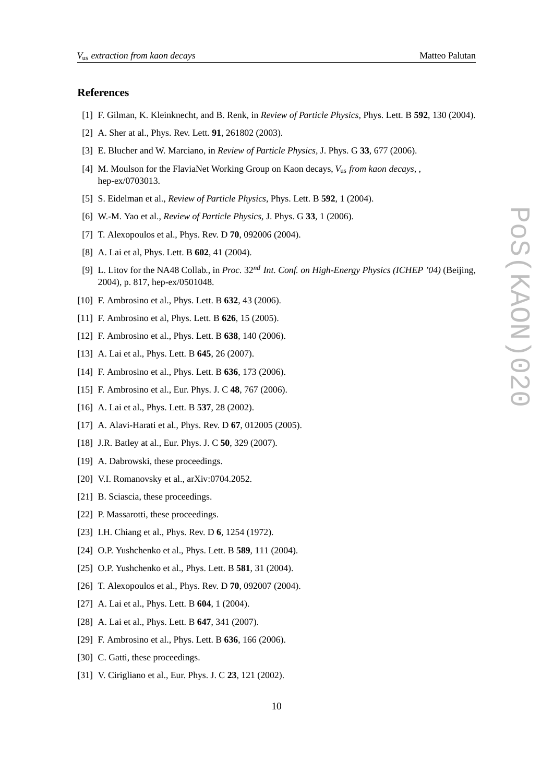#### <span id="page-9-0"></span>**References**

- [1] F. Gilman, K. Kleinknecht, and B. Renk, in *Review of Particle Physics,* Phys. Lett. B **592**, 130 (2004).
- [2] A. Sher at al., Phys. Rev. Lett. **91**, 261802 (2003).
- [3] E. Blucher and W. Marciano, in *Review of Particle Physics,* J. Phys. G **33**, 677 (2006).
- [4] M. Moulson for the FlaviaNet Working Group on Kaon decays, *V*us *from kaon decays,* , hep-ex/0703013.
- [5] S. Eidelman et al., *Review of Particle Physics,* Phys. Lett. B **592**, 1 (2004).
- [6] W.-M. Yao et al., *Review of Particle Physics,* J. Phys. G **33**, 1 (2006).
- [7] T. Alexopoulos et al., Phys. Rev. D **70**, 092006 (2004).
- [8] A. Lai et al, Phys. Lett. B **602**, 41 (2004).
- [9] L. Litov for the NA48 Collab., in *Proc.* 32*nd Int. Conf. on High-Energy Physics (ICHEP '04)* (Beijing, 2004), p. 817, hep-ex/0501048.
- [10] F. Ambrosino et al., Phys. Lett. B **632**, 43 (2006).
- [11] F. Ambrosino et al, Phys. Lett. B **626**, 15 (2005).
- [12] F. Ambrosino et al., Phys. Lett. B **638**, 140 (2006).
- [13] A. Lai et al., Phys. Lett. B **645**, 26 (2007).
- [14] F. Ambrosino et al., Phys. Lett. B **636**, 173 (2006).
- [15] F. Ambrosino et al., Eur. Phys. J. C **48**, 767 (2006).
- [16] A. Lai et al., Phys. Lett. B **537**, 28 (2002).
- [17] A. Alavi-Harati et al., Phys. Rev. D **67**, 012005 (2005).
- [18] J.R. Batley at al., Eur. Phys. J. C **50**, 329 (2007).
- [19] A. Dabrowski, these proceedings.
- [20] V.I. Romanovsky et al., arXiv:0704.2052.
- [21] B. Sciascia, these proceedings.
- [22] P. Massarotti, these proceedings.
- [23] I.H. Chiang et al., Phys. Rev. D **6**, 1254 (1972).
- [24] O.P. Yushchenko et al., Phys. Lett. B **589**, 111 (2004).
- [25] O.P. Yushchenko et al., Phys. Lett. B **581**, 31 (2004).
- [26] T. Alexopoulos et al., Phys. Rev. D **70**, 092007 (2004).
- [27] A. Lai et al., Phys. Lett. B **604**, 1 (2004).
- [28] A. Lai et al., Phys. Lett. B **647**, 341 (2007).
- [29] F. Ambrosino et al., Phys. Lett. B **636**, 166 (2006).
- [30] C. Gatti, these proceedings.
- [31] V. Cirigliano et al., Eur. Phys. J. C **23**, 121 (2002).